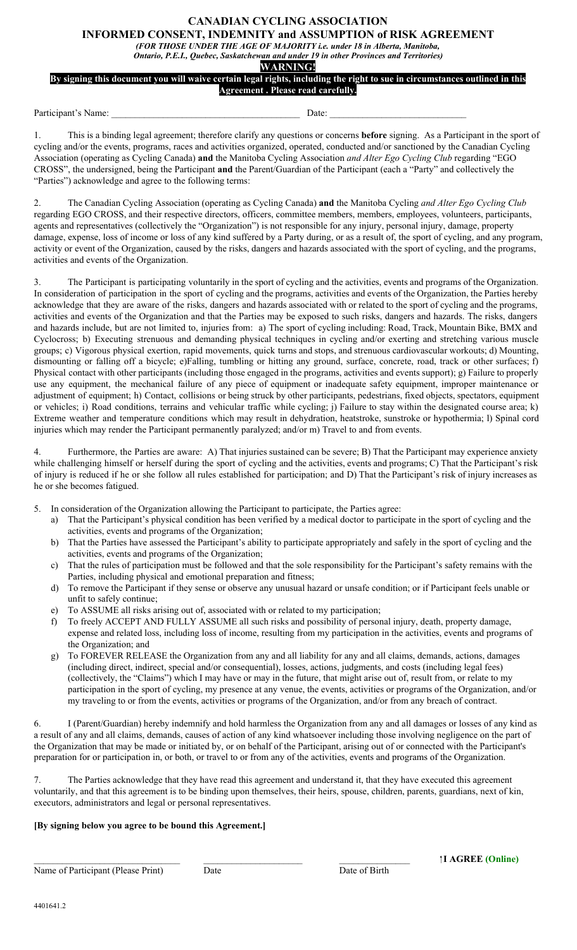## **CANADIAN CYCLING ASSOCIATION INFORMED CONSENT, INDEMNITY and ASSUMPTION of RISK AGREEMENT**

*(FOR THOSE UNDER THE AGE OF MAJORITY i.e. under 18 in Alberta, Manitoba,*

*Ontario, P.E.I., Quebec, Saskatchewan and under 19 in other Provinces and Territories)*

**WARNING!**

## **By signing this document you will waive certain legal rights, including the right to sue in circumstances outlined in this Agreement . Please read carefully.**

Participant's Name: \_\_\_\_\_\_\_\_\_\_\_\_\_\_\_\_\_\_\_\_\_\_\_\_\_\_\_\_\_\_\_\_\_\_\_\_\_\_\_\_ Date: \_\_\_\_\_\_\_\_\_\_\_\_\_\_\_\_\_\_\_\_\_\_\_\_\_\_\_\_\_

1. This is a binding legal agreement; therefore clarify any questions or concerns **before** signing. As a Participant in the sport of cycling and/or the events, programs, races and activities organized, operated, conducted and/or sanctioned by the Canadian Cycling Association (operating as Cycling Canada) **and** the Manitoba Cycling Association *and Alter Ego Cycling Club* regarding "EGO CROSS", the undersigned, being the Participant **and** the Parent/Guardian of the Participant (each a "Party" and collectively the "Parties") acknowledge and agree to the following terms:

2. The Canadian Cycling Association (operating as Cycling Canada) **and** the Manitoba Cycling *and Alter Ego Cycling Club* regarding EGO CROSS, and their respective directors, officers, committee members, members, employees, volunteers, participants, agents and representatives (collectively the "Organization") is not responsible for any injury, personal injury, damage, property damage, expense, loss of income or loss of any kind suffered by a Party during, or as a result of, the sport of cycling, and any program, activity or event of the Organization, caused by the risks, dangers and hazards associated with the sport of cycling, and the programs, activities and events of the Organization.

3. The Participant is participating voluntarily in the sport of cycling and the activities, events and programs of the Organization. In consideration of participation in the sport of cycling and the programs, activities and events of the Organization, the Parties hereby acknowledge that they are aware of the risks, dangers and hazards associated with or related to the sport of cycling and the programs, activities and events of the Organization and that the Parties may be exposed to such risks, dangers and hazards. The risks, dangers and hazards include, but are not limited to, injuries from: a) The sport of cycling including: Road, Track, Mountain Bike, BMX and Cyclocross; b) Executing strenuous and demanding physical techniques in cycling and/or exerting and stretching various muscle groups; c) Vigorous physical exertion, rapid movements, quick turns and stops, and strenuous cardiovascular workouts; d) Mounting, dismounting or falling off a bicycle; e)Falling, tumbling or hitting any ground, surface, concrete, road, track or other surfaces; f) Physical contact with other participants (including those engaged in the programs, activities and events support); g) Failure to properly use any equipment, the mechanical failure of any piece of equipment or inadequate safety equipment, improper maintenance or adjustment of equipment; h) Contact, collisions or being struck by other participants, pedestrians, fixed objects, spectators, equipment or vehicles; i) Road conditions, terrains and vehicular traffic while cycling; j) Failure to stay within the designated course area; k) Extreme weather and temperature conditions which may result in dehydration, heatstroke, sunstroke or hypothermia; l) Spinal cord injuries which may render the Participant permanently paralyzed; and/or m) Travel to and from events.

4. Furthermore, the Parties are aware: A) That injuries sustained can be severe; B) That the Participant may experience anxiety while challenging himself or herself during the sport of cycling and the activities, events and programs; C) That the Participant's risk of injury is reduced if he or she follow all rules established for participation; and D) That the Participant's risk of injury increases as he or she becomes fatigued.

- 5. In consideration of the Organization allowing the Participant to participate, the Parties agree:
	- a) That the Participant's physical condition has been verified by a medical doctor to participate in the sport of cycling and the activities, events and programs of the Organization;
	- b) That the Parties have assessed the Participant's ability to participate appropriately and safely in the sport of cycling and the activities, events and programs of the Organization;
	- c) That the rules of participation must be followed and that the sole responsibility for the Participant's safety remains with the Parties, including physical and emotional preparation and fitness;
	- d) To remove the Participant if they sense or observe any unusual hazard or unsafe condition; or if Participant feels unable or unfit to safely continue;
	- e) To ASSUME all risks arising out of, associated with or related to my participation;
	- f) To freely ACCEPT AND FULLY ASSUME all such risks and possibility of personal injury, death, property damage, expense and related loss, including loss of income, resulting from my participation in the activities, events and programs of the Organization; and
	- g) To FOREVER RELEASE the Organization from any and all liability for any and all claims, demands, actions, damages (including direct, indirect, special and/or consequential), losses, actions, judgments, and costs (including legal fees) (collectively, the "Claims") which I may have or may in the future, that might arise out of, result from, or relate to my participation in the sport of cycling, my presence at any venue, the events, activities or programs of the Organization, and/or my traveling to or from the events, activities or programs of the Organization, and/or from any breach of contract.

6. I (Parent/Guardian) hereby indemnify and hold harmless the Organization from any and all damages or losses of any kind as a result of any and all claims, demands, causes of action of any kind whatsoever including those involving negligence on the part of the Organization that may be made or initiated by, or on behalf of the Participant, arising out of or connected with the Participant's preparation for or participation in, or both, or travel to or from any of the activities, events and programs of the Organization.

7. The Parties acknowledge that they have read this agreement and understand it, that they have executed this agreement voluntarily, and that this agreement is to be binding upon themselves, their heirs, spouse, children, parents, guardians, next of kin, executors, administrators and legal or personal representatives.

## **[By signing below you agree to be bound this Agreement.]**

Name of Participant (Please Print)

Date **Date Date Date of Birth i I AGREE (Online)**